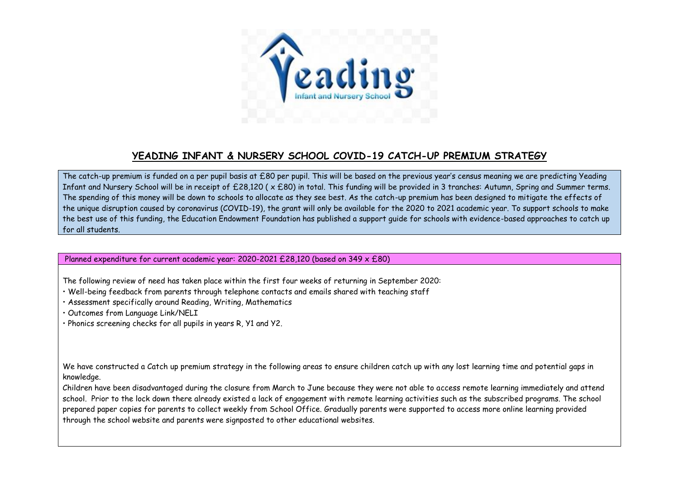

## **YEADING INFANT & NURSERY SCHOOL COVID-19 CATCH-UP PREMIUM STRATEGY**

The catch-up premium is funded on a per pupil basis at £80 per pupil. This will be based on the previous year's census meaning we are predicting Yeading Infant and Nursery School will be in receipt of £28,120 ( x £80) in total. This funding will be provided in 3 tranches: Autumn, Spring and Summer terms. The spending of this money will be down to schools to allocate as they see best. As the catch-up premium has been designed to mitigate the effects of the unique disruption caused by coronavirus (COVID-19), the grant will only be available for the 2020 to 2021 academic year. To support schools to make the best use of this funding, the Education Endowment Foundation has published a support guide for schools with evidence-based approaches to catch up for all students.

Planned expenditure for current academic year: 2020-2021 £28,120 (based on 349 x £80)

The following review of need has taken place within the first four weeks of returning in September 2020:

- Well-being feedback from parents through telephone contacts and emails shared with teaching staff
- Assessment specifically around Reading, Writing, Mathematics

• Outcomes from Language Link/NELI

• Phonics screening checks for all pupils in years R, Y1 and Y2.

We have constructed a Catch up premium strategy in the following areas to ensure children catch up with any lost learning time and potential gaps in knowledge.

Children have been disadvantaged during the closure from March to June because they were not able to access remote learning immediately and attend school. Prior to the lock down there already existed a lack of engagement with remote learning activities such as the subscribed programs. The school prepared paper copies for parents to collect weekly from School Office. Gradually parents were supported to access more online learning provided through the school website and parents were signposted to other educational websites.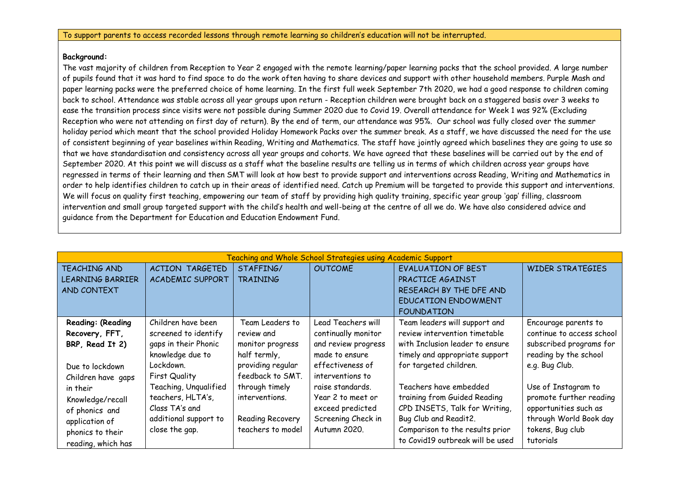## **Background:**

The vast majority of children from Reception to Year 2 engaged with the remote learning/paper learning packs that the school provided. A large number of pupils found that it was hard to find space to do the work often having to share devices and support with other household members. Purple Mash and paper learning packs were the preferred choice of home learning. In the first full week September 7th 2020, we had a good response to children coming back to school. Attendance was stable across all year groups upon return - Reception children were brought back on a staggered basis over 3 weeks to ease the transition process since visits were not possible during Summer 2020 due to Covid 19. Overall attendance for Week 1 was 92% (Excluding Reception who were not attending on first day of return). By the end of term, our attendance was 95%. Our school was fully closed over the summer holiday period which meant that the school provided Holiday Homework Packs over the summer break. As a staff, we have discussed the need for the use of consistent beginning of year baselines within Reading, Writing and Mathematics. The staff have jointly agreed which baselines they are going to use so that we have standardisation and consistency across all year groups and cohorts. We have agreed that these baselines will be carried out by the end of September 2020. At this point we will discuss as a staff what the baseline results are telling us in terms of which children across year groups have regressed in terms of their learning and then SMT will look at how best to provide support and interventions across Reading, Writing and Mathematics in order to help identifies children to catch up in their areas of identified need. Catch up Premium will be targeted to provide this support and interventions. We will focus on quality first teaching, empowering our team of staff by providing high quality training, specific year group 'gap' filling, classroom intervention and small group targeted support with the child's health and well-being at the centre of all we do. We have also considered advice and guidance from the Department for Education and Education Endowment Fund.

| Teaching and Whole School Strategies using Academic Support |                         |                   |                     |                                  |                           |
|-------------------------------------------------------------|-------------------------|-------------------|---------------------|----------------------------------|---------------------------|
| <b>TEACHING AND</b>                                         | ACTION TARGETED         | STAFFING/         | <b>OUTCOME</b>      | <b>EVALUATION OF BEST</b>        | <b>WIDER STRATEGIES</b>   |
| LEARNING BARRIER                                            | <b>ACADEMIC SUPPORT</b> | <b>TRAINING</b>   |                     | PRACTICE AGAINST                 |                           |
| AND CONTEXT                                                 |                         |                   |                     | RESEARCH BY THE DFE AND          |                           |
|                                                             |                         |                   |                     | <b>EDUCATION ENDOWMENT</b>       |                           |
|                                                             |                         |                   |                     | <b>FOUNDATION</b>                |                           |
| Reading: (Reading                                           | Children have been      | Team Leaders to   | Lead Teachers will  | Team leaders will support and    | Encourage parents to      |
| Recovery, FFT,                                              | screened to identify    | review and        | continually monitor | review intervention timetable    | continue to access school |
| BRP, Read It 2)                                             | gaps in their Phonic    | monitor progress  | and review progress | with Inclusion leader to ensure  | subscribed programs for   |
|                                                             | knowledge due to        | half termly,      | made to ensure      | timely and appropriate support   | reading by the school     |
| Due to lockdown                                             | Lockdown.               | providing regular | effectiveness of    | for targeted children.           | e.g. Bug Club.            |
| Children have gaps                                          | <b>First Quality</b>    | feedback to SMT.  | interventions to    |                                  |                           |
| in their                                                    | Teaching, Ungualified   | through timely    | raise standards.    | Teachers have embedded           | Use of Instagram to       |
| Knowledge/recall                                            | teachers, HLTA's,       | interventions.    | Year 2 to meet or   | training from Guided Reading     | promote further reading   |
| of phonics and                                              | Class TA's and          |                   | exceed predicted    | CPD INSETS, Talk for Writing,    | opportunities such as     |
| application of                                              | additional support to   | Reading Recovery  | Screening Check in  | Bug Club and Readit2.            | through World Book day    |
| phonics to their                                            | close the gap.          | teachers to model | Autumn 2020.        | Comparison to the results prior  | tokens, Bug club          |
| reading, which has                                          |                         |                   |                     | to Covid19 outbreak will be used | tutorials                 |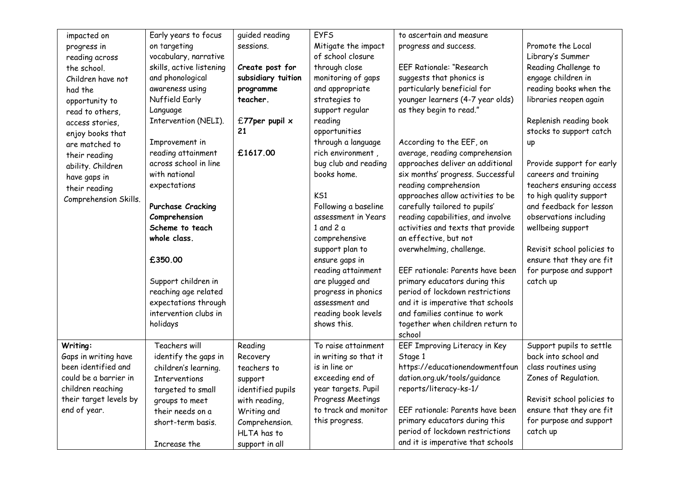| to ascertain and measure<br>Early years to focus<br>quided reading<br><b>EYFS</b><br>impacted on<br>Mitigate the impact<br>Promote the Local<br>on targeting<br>sessions.<br>progress and success.<br>progress in<br>vocabulary, narrative<br>of school closure<br>Library's Summer<br>reading across |  |
|-------------------------------------------------------------------------------------------------------------------------------------------------------------------------------------------------------------------------------------------------------------------------------------------------------|--|
|                                                                                                                                                                                                                                                                                                       |  |
|                                                                                                                                                                                                                                                                                                       |  |
| skills, active listening<br>Create post for<br>through close<br><b>EEF Rationale: "Research</b><br>Reading Challenge to<br>the school.                                                                                                                                                                |  |
| and phonological<br>subsidiary tuition<br>monitoring of gaps<br>suggests that phonics is<br>engage children in<br>Children have not                                                                                                                                                                   |  |
| particularly beneficial for<br>reading books when the<br>awareness using<br>and appropriate<br>programme<br>had the                                                                                                                                                                                   |  |
| younger learners (4-7 year olds)<br>Nuffield Early<br>teacher.<br>strategies to<br>libraries reopen again<br>opportunity to                                                                                                                                                                           |  |
| as they begin to read."<br>support regular<br>Language<br>read to others,                                                                                                                                                                                                                             |  |
| Intervention (NELI).<br>£77 per pupil $\times$<br>reading<br>Replenish reading book<br>access stories,                                                                                                                                                                                                |  |
| 21<br>opportunities<br>stocks to support catch<br>enjoy books that                                                                                                                                                                                                                                    |  |
| through a language<br>According to the EEF, on<br>Improvement in<br>up<br>are matched to                                                                                                                                                                                                              |  |
| rich environment,<br>average, reading comprehension<br>reading attainment<br>£1617.00                                                                                                                                                                                                                 |  |
| their reading<br>across school in line<br>bug club and reading<br>approaches deliver an additional<br>Provide support for early                                                                                                                                                                       |  |
| ability. Children<br>books home.<br>six months' progress. Successful<br>with national<br>careers and training                                                                                                                                                                                         |  |
| have gaps in<br>reading comprehension<br>teachers ensuring access<br>expectations                                                                                                                                                                                                                     |  |
| their reading<br>KS1<br>approaches allow activities to be<br>to high quality support                                                                                                                                                                                                                  |  |
| Comprehension Skills.<br>Following a baseline<br>carefully tailored to pupils'<br>and feedback for lesson<br>Purchase Cracking                                                                                                                                                                        |  |
| Comprehension<br>assessment in Years<br>reading capabilities, and involve<br>observations including                                                                                                                                                                                                   |  |
| Scheme to teach<br>1 and 2 $a$<br>activities and texts that provide<br>wellbeing support                                                                                                                                                                                                              |  |
| an effective, but not<br>whole class.<br>comprehensive                                                                                                                                                                                                                                                |  |
| support plan to<br>overwhelming, challenge.<br>Revisit school policies to                                                                                                                                                                                                                             |  |
| ensure that they are fit<br>£350.00<br>ensure gaps in                                                                                                                                                                                                                                                 |  |
| reading attainment<br>EEF rationale: Parents have been<br>for purpose and support                                                                                                                                                                                                                     |  |
| Support children in<br>are plugged and<br>primary educators during this<br>catch up                                                                                                                                                                                                                   |  |
| period of lockdown restrictions<br>reaching age related<br>progress in phonics                                                                                                                                                                                                                        |  |
| expectations through<br>assessment and<br>and it is imperative that schools                                                                                                                                                                                                                           |  |
| intervention clubs in<br>and families continue to work<br>reading book levels                                                                                                                                                                                                                         |  |
| shows this.<br>together when children return to<br>holidays                                                                                                                                                                                                                                           |  |
| school                                                                                                                                                                                                                                                                                                |  |
| Teachers will<br>Support pupils to settle<br>Writing:<br>Reading<br>To raise attainment<br>EEF Improving Literacy in Key                                                                                                                                                                              |  |
| back into school and<br>Gaps in writing have<br>in writing so that it<br>identify the gaps in<br>Stage 1<br>Recovery                                                                                                                                                                                  |  |
| been identified and<br>is in line or<br>https://educationendowmentfoun<br>class routines using<br>children's learning.<br>teachers to                                                                                                                                                                 |  |
| dation.org.uk/tools/guidance<br>Zones of Regulation.<br>could be a barrier in<br>exceeding end of<br><b>Interventions</b><br>support                                                                                                                                                                  |  |
| year targets. Pupil<br>reports/literacy-ks-1/<br>children reaching<br>identified pupils<br>targeted to small                                                                                                                                                                                          |  |
| their target levels by<br>Progress Meetings<br>Revisit school policies to<br>with reading,<br>groups to meet                                                                                                                                                                                          |  |
| to track and monitor<br>EEF rationale: Parents have been<br>ensure that they are fit<br>end of year.<br>their needs on a<br>Writing and                                                                                                                                                               |  |
| for purpose and support<br>primary educators during this<br>this progress.<br>Comprehension.<br>short-term basis.                                                                                                                                                                                     |  |
| period of lockdown restrictions<br>catch up<br>HLTA has to                                                                                                                                                                                                                                            |  |
| and it is imperative that schools<br>Increase the<br>support in all                                                                                                                                                                                                                                   |  |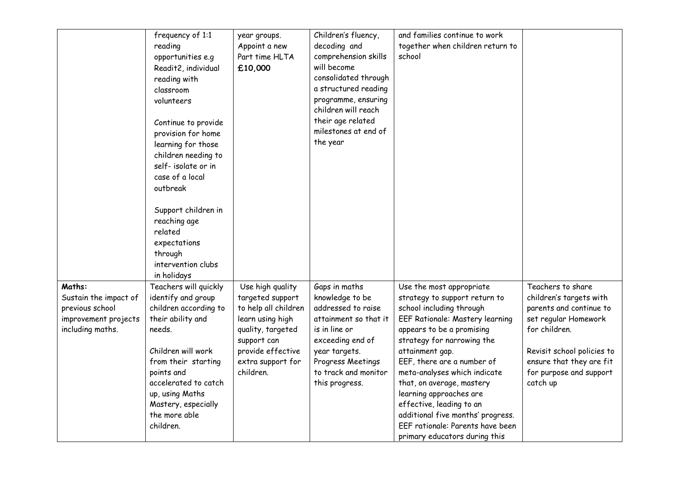|                                                                                                | frequency of 1:1<br>reading<br>opportunities e.g<br>Readit2, individual<br>reading with<br>classroom<br>volunteers<br>Continue to provide<br>provision for home<br>learning for those<br>children needing to<br>self-isolate or in<br>case of a local<br>outbreak<br>Support children in<br>reaching age<br>related<br>expectations<br>through<br>intervention clubs | year groups.<br>Appoint a new<br>Part time HLTA<br>£10,000                                                                                                                  | Children's fluency,<br>decoding and<br>comprehension skills<br>will become<br>consolidated through<br>a structured reading<br>programme, ensuring<br>children will reach<br>their age related<br>milestones at end of<br>the year | and families continue to work<br>together when children return to<br>school                                                                                                                                                                                                                                                                                                                                                                                               |                                                                                                                                                                                                                   |
|------------------------------------------------------------------------------------------------|----------------------------------------------------------------------------------------------------------------------------------------------------------------------------------------------------------------------------------------------------------------------------------------------------------------------------------------------------------------------|-----------------------------------------------------------------------------------------------------------------------------------------------------------------------------|-----------------------------------------------------------------------------------------------------------------------------------------------------------------------------------------------------------------------------------|---------------------------------------------------------------------------------------------------------------------------------------------------------------------------------------------------------------------------------------------------------------------------------------------------------------------------------------------------------------------------------------------------------------------------------------------------------------------------|-------------------------------------------------------------------------------------------------------------------------------------------------------------------------------------------------------------------|
| Maths:<br>Sustain the impact of<br>previous school<br>improvement projects<br>including maths. | in holidays<br>Teachers will quickly<br>identify and group<br>children according to<br>their ability and<br>needs.<br>Children will work<br>from their starting<br>points and<br>accelerated to catch<br>up, using Maths<br>Mastery, especially<br>the more able<br>children.                                                                                        | Use high quality<br>targeted support<br>to help all children<br>learn using high<br>quality, targeted<br>support can<br>provide effective<br>extra support for<br>children. | Gaps in maths<br>knowledge to be<br>addressed to raise<br>attainment so that it<br>is in line or<br>exceeding end of<br>year targets.<br>Progress Meetings<br>to track and monitor<br>this progress.                              | Use the most appropriate<br>strategy to support return to<br>school including through<br><b>EEF Rationale: Mastery learning</b><br>appears to be a promising<br>strategy for narrowing the<br>attainment gap.<br>EEF, there are a number of<br>meta-analyses which indicate<br>that, on average, mastery<br>learning approaches are<br>effective, leading to an<br>additional five months' progress.<br>EEF rationale: Parents have been<br>primary educators during this | Teachers to share<br>children's targets with<br>parents and continue to<br>set regular Homework<br>for children.<br>Revisit school policies to<br>ensure that they are fit<br>for purpose and support<br>catch up |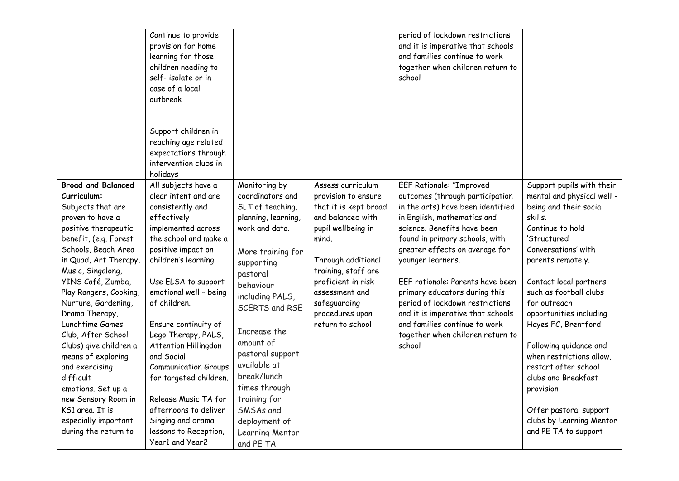| provision for home                                                                                                                                                                                                                                                                                                                                                                                                                                                                                                                      | learning for those<br>children needing to<br>self-isolate or in<br>case of a local<br>outbreak                                                                                                                                                                                                                                                                                                                                                                                            |                                                                                                                                                                                                                                                                                                                                                                          |                                                                                                                                                                                                                                                                   | and it is imperative that schools<br>and families continue to work<br>together when children return to<br>school                                                                                                                                                                                                                                                                                                                                                                           |                                                                                                                                                                                                                                                                                                                                                                                                                                                                                                   |
|-----------------------------------------------------------------------------------------------------------------------------------------------------------------------------------------------------------------------------------------------------------------------------------------------------------------------------------------------------------------------------------------------------------------------------------------------------------------------------------------------------------------------------------------|-------------------------------------------------------------------------------------------------------------------------------------------------------------------------------------------------------------------------------------------------------------------------------------------------------------------------------------------------------------------------------------------------------------------------------------------------------------------------------------------|--------------------------------------------------------------------------------------------------------------------------------------------------------------------------------------------------------------------------------------------------------------------------------------------------------------------------------------------------------------------------|-------------------------------------------------------------------------------------------------------------------------------------------------------------------------------------------------------------------------------------------------------------------|--------------------------------------------------------------------------------------------------------------------------------------------------------------------------------------------------------------------------------------------------------------------------------------------------------------------------------------------------------------------------------------------------------------------------------------------------------------------------------------------|---------------------------------------------------------------------------------------------------------------------------------------------------------------------------------------------------------------------------------------------------------------------------------------------------------------------------------------------------------------------------------------------------------------------------------------------------------------------------------------------------|
|                                                                                                                                                                                                                                                                                                                                                                                                                                                                                                                                         | Support children in<br>reaching age related<br>expectations through<br>intervention clubs in<br>holidays                                                                                                                                                                                                                                                                                                                                                                                  |                                                                                                                                                                                                                                                                                                                                                                          |                                                                                                                                                                                                                                                                   |                                                                                                                                                                                                                                                                                                                                                                                                                                                                                            |                                                                                                                                                                                                                                                                                                                                                                                                                                                                                                   |
| <b>Broad and Balanced</b><br>Curriculum:<br>Subjects that are<br>proven to have a<br>positive therapeutic<br>benefit, (e.g. Forest<br>Schools, Beach Area<br>in Quad, Art Therapy,<br>Music, Singalong,<br>YINS Café, Zumba,<br>Play Rangers, Cooking,<br>Nurture, Gardening,<br>Drama Therapy,<br>Lunchtime Games<br>Club, After School<br>Clubs) give children a<br>means of exploring<br>and exercising<br>difficult<br>emotions. Set up a<br>new Sensory Room in<br>KS1 area. It is<br>especially important<br>during the return to | All subjects have a<br>clear intent and are<br>consistently and<br>effectively<br>implemented across<br>the school and make a<br>positive impact on<br>children's learning.<br>Use ELSA to support<br>emotional well - being<br>of children.<br>Ensure continuity of<br>Lego Therapy, PALS,<br>Attention Hillingdon<br>and Social<br><b>Communication Groups</b><br>for targeted children.<br>Release Music TA for<br>afternoons to deliver<br>Singing and drama<br>lessons to Reception, | Monitoring by<br>coordinators and<br>SLT of teaching,<br>planning, learning,<br>work and data.<br>More training for<br>supporting<br>pastoral<br>behaviour<br>including PALS,<br><b>SCERTS and RSE</b><br>Increase the<br>amount of<br>pastoral support<br>available at<br>break/lunch<br>times through<br>training for<br>SMSAs and<br>deployment of<br>Learning Mentor | Assess curriculum<br>provision to ensure<br>that it is kept broad<br>and balanced with<br>pupil wellbeing in<br>mind.<br>Through additional<br>training, staff are<br>proficient in risk<br>assessment and<br>safeguarding<br>procedures upon<br>return to school | <b>EEF Rationale: "Improved</b><br>outcomes (through participation<br>in the arts) have been identified<br>in English, mathematics and<br>science. Benefits have been<br>found in primary schools, with<br>greater effects on average for<br>younger learners.<br>EEF rationale: Parents have been<br>primary educators during this<br>period of lockdown restrictions<br>and it is imperative that schools<br>and families continue to work<br>together when children return to<br>school | Support pupils with their<br>mental and physical well -<br>being and their social<br>skills.<br>Continue to hold<br>'Structured<br>Conversations' with<br>parents remotely.<br>Contact local partners<br>such as football clubs<br>for outreach<br>opportunities including<br>Hayes FC, Brentford<br>Following guidance and<br>when restrictions allow,<br>restart after school<br>clubs and Breakfast<br>provision<br>Offer pastoral support<br>clubs by Learning Mentor<br>and PE TA to support |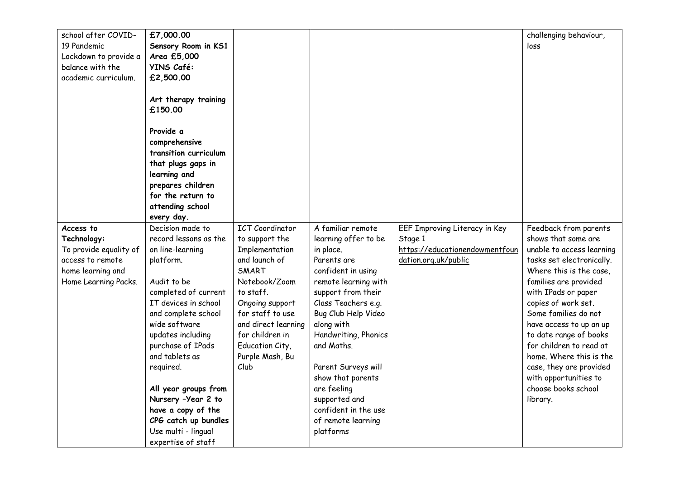| school after COVID-    | £7,000.00             |                        |                      |                                | challenging behaviour,    |
|------------------------|-----------------------|------------------------|----------------------|--------------------------------|---------------------------|
| 19 Pandemic            | Sensory Room in KS1   |                        |                      |                                | loss                      |
| Lockdown to provide a  | Area £5,000           |                        |                      |                                |                           |
| balance with the       | YINS Café:            |                        |                      |                                |                           |
| academic curriculum.   | £2,500.00             |                        |                      |                                |                           |
|                        |                       |                        |                      |                                |                           |
|                        | Art therapy training  |                        |                      |                                |                           |
|                        | £150.00               |                        |                      |                                |                           |
|                        |                       |                        |                      |                                |                           |
|                        | Provide a             |                        |                      |                                |                           |
|                        | comprehensive         |                        |                      |                                |                           |
|                        | transition curriculum |                        |                      |                                |                           |
|                        | that plugs gaps in    |                        |                      |                                |                           |
|                        | learning and          |                        |                      |                                |                           |
|                        | prepares children     |                        |                      |                                |                           |
|                        | for the return to     |                        |                      |                                |                           |
|                        | attending school      |                        |                      |                                |                           |
|                        | every day.            |                        |                      |                                |                           |
| Access to              | Decision made to      | <b>ICT</b> Coordinator | A familiar remote    | EEF Improving Literacy in Key  | Feedback from parents     |
| Technology:            | record lessons as the | to support the         | learning offer to be | Stage 1                        | shows that some are       |
| To provide equality of | on line-learning      | Implementation         | in place.            | https://educationendowmentfoun | unable to access learning |
| access to remote       | platform.             | and launch of          | Parents are          | dation.org.uk/public           | tasks set electronically. |
| home learning and      |                       | SMART                  | confident in using   |                                | Where this is the case.   |
| Home Learning Packs.   | Audit to be           | Notebook/Zoom          | remote learning with |                                | families are provided     |
|                        | completed of current  | to staff.              | support from their   |                                | with IPads or paper       |
|                        | IT devices in school  | Ongoing support        | Class Teachers e.g.  |                                | copies of work set.       |
|                        | and complete school   | for staff to use       | Bug Club Help Video  |                                | Some families do not      |
|                        | wide software         | and direct learning    | along with           |                                | have access to up an up   |
|                        | updates including     | for children in        | Handwriting, Phonics |                                | to date range of books    |
|                        | purchase of IPads     | Education City,        | and Maths.           |                                | for children to read at   |
|                        | and tablets as        | Purple Mash, Bu        |                      |                                | home. Where this is the   |
|                        | required.             | Club                   | Parent Surveys will  |                                | case, they are provided   |
|                        |                       |                        | show that parents    |                                | with opportunities to     |
|                        | All year groups from  |                        | are feeling          |                                | choose books school       |
|                        | Nursery -Year 2 to    |                        | supported and        |                                | library.                  |
|                        | have a copy of the    |                        | confident in the use |                                |                           |
|                        | CPG catch up bundles  |                        | of remote learning   |                                |                           |
|                        | Use multi - lingual   |                        | platforms            |                                |                           |
|                        | expertise of staff    |                        |                      |                                |                           |